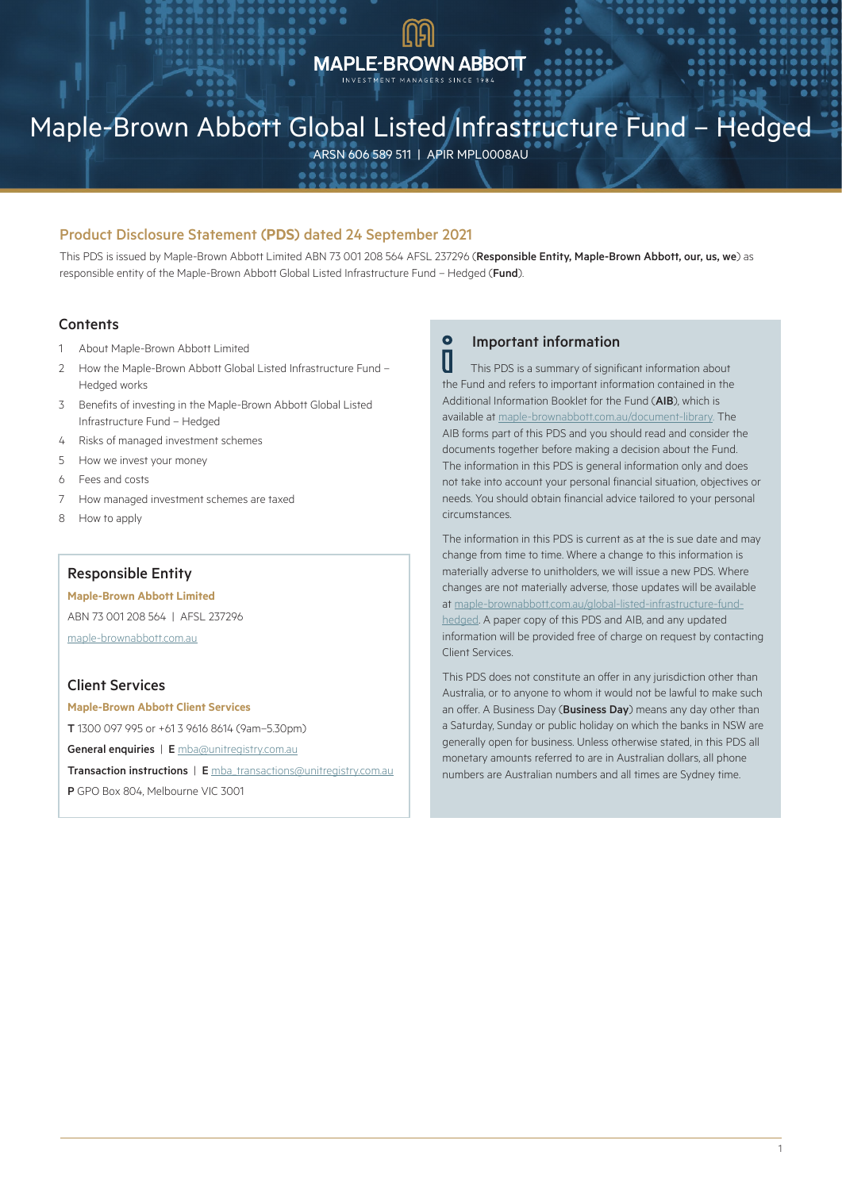## **MAPLE-BROWN ABBOTT**

## Maple-Brown Abbott Global Listed Infrastructure Fund – Hedged

ARSN 606 589 511 | APIR MPL0008AU

## Product Disclosure Statement (**PDS**) dated 24 September 2021

This PDS is issued by Maple-Brown Abbott Limited ABN 73 001 208 564 AFSL 237296 (Responsible Entity, Maple-Brown Abbott, our, us, we) as responsible entity of the Maple-Brown Abbott Global Listed Infrastructure Fund - Hedged (Fund).

## **Contents**

- 1 About Maple-Brown Abbott Limited
- 2 How the Maple-Brown Abbott Global Listed Infrastructure Fund Hedged works
- 3 Benefits of investing in the Maple-Brown Abbott Global Listed Infrastructure Fund – Hedged
- 4 Risks of managed investment schemes
- 5 How we invest your money
- 6 Fees and costs
- 7 How managed investment schemes are taxed
- 8 How to apply

## Responsible Entity

#### **Maple-Brown Abbott Limited**

ABN 73 001 208 564 | AFSL 237296 [maple-brownabbott.com.au](http://www.maple-brownabbott.com.au)

## Client Services

**Maple-Brown Abbott Client Services** T 1300 097 995 or +61 3 9616 8614 (9am–5.30pm) General enquiries | E [mba@unitregistry.com.au](mailto:mba%40unitregistry.com.au?subject=Maple-Brown%20Abbott) Transaction instructions | E [mba\\_transactions@unitregistry.com.au](mailto:mba_transactions%40unitregistry.com.au?subject=Maple-Brown%20Abbott) P GPO Box 804, Melbourne VIC 3001

## **O** Important information

 This PDS is a summary of significant information about the Fund and refers to important information contained in the Additional Information Booklet for the Fund (AIB), which is available at [maple-brownabbott.com.au/document-library](http://www.maple-brownabbott.com.au/document-library). The AIB forms part of this PDS and you should read and consider the documents together before making a decision about the Fund. The information in this PDS is general information only and does not take into account your personal financial situation, objectives or needs. You should obtain financial advice tailored to your personal circumstances.

The information in this PDS is current as at the is sue date and may change from time to time. Where a change to this information is materially adverse to unitholders, we will issue a new PDS. Where changes are not materially adverse, those updates will be available at [maple-brownabbott.com.au/global-listed-infrastructure-fund](http://www.maple-brownabbott.com.au/global-listed-infrastructure-fund-hedged)[hedged](http://www.maple-brownabbott.com.au/global-listed-infrastructure-fund-hedged). A paper copy of this PDS and AIB, and any updated information will be provided free of charge on request by contacting Client Services.

This PDS does not constitute an offer in any jurisdiction other than Australia, or to anyone to whom it would not be lawful to make such an offer. A Business Day (Business Day) means any day other than a Saturday, Sunday or public holiday on which the banks in NSW are generally open for business. Unless otherwise stated, in this PDS all monetary amounts referred to are in Australian dollars, all phone numbers are Australian numbers and all times are Sydney time.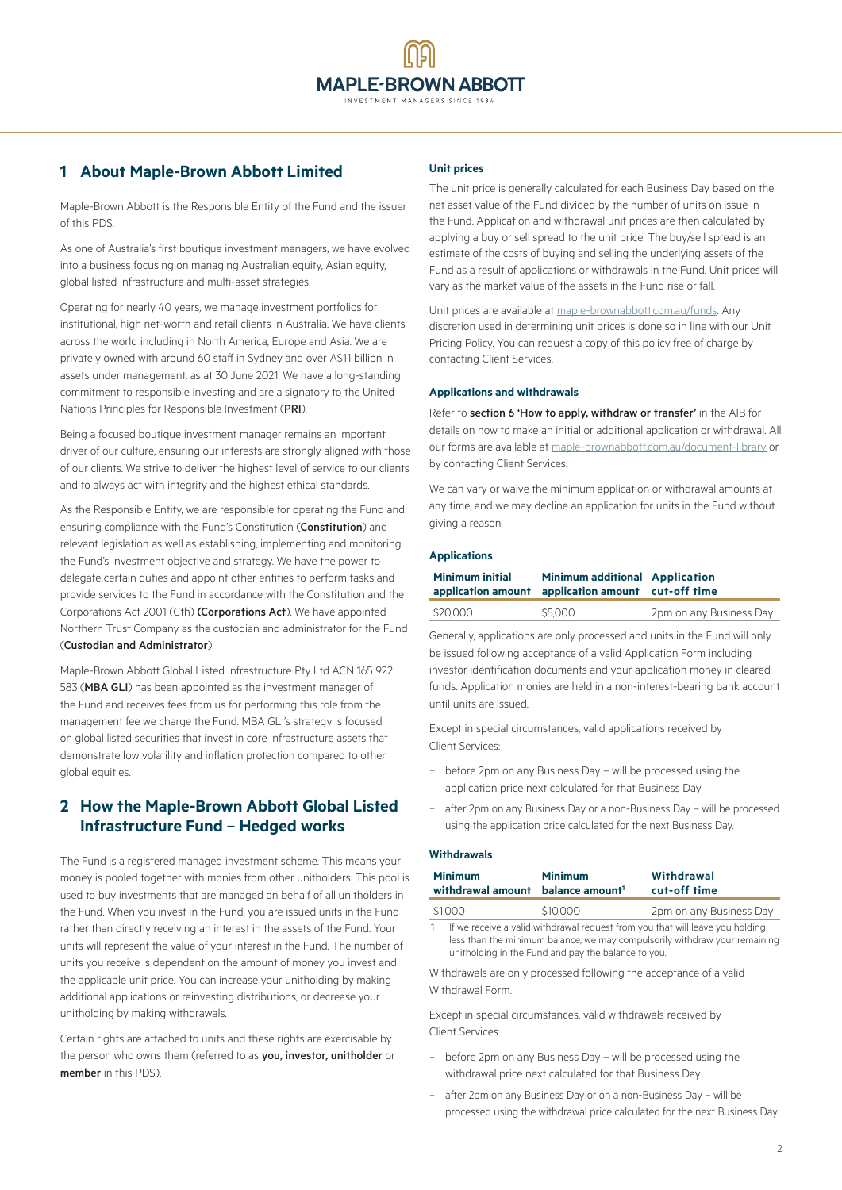## **1 About Maple-Brown Abbott Limited**

Maple-Brown Abbott is the Responsible Entity of the Fund and the issuer of this PDS.

As one of Australia's first boutique investment managers, we have evolved into a business focusing on managing Australian equity, Asian equity, global listed infrastructure and multi-asset strategies.

Operating for nearly 40 years, we manage investment portfolios for institutional, high net-worth and retail clients in Australia. We have clients across the world including in North America, Europe and Asia. We are privately owned with around 60 staff in Sydney and over A\$11 billion in assets under management, as at 30 June 2021. We have a long-standing commitment to responsible investing and are a signatory to the United Nations Principles for Responsible Investment (PRI).

Being a focused boutique investment manager remains an important driver of our culture, ensuring our interests are strongly aligned with those of our clients. We strive to deliver the highest level of service to our clients and to always act with integrity and the highest ethical standards.

As the Responsible Entity, we are responsible for operating the Fund and ensuring compliance with the Fund's Constitution (Constitution) and relevant legislation as well as establishing, implementing and monitoring the Fund's investment objective and strategy. We have the power to delegate certain duties and appoint other entities to perform tasks and provide services to the Fund in accordance with the Constitution and the Corporations Act 2001 (Cth) (Corporations Act). We have appointed Northern Trust Company as the custodian and administrator for the Fund (Custodian and Administrator).

Maple-Brown Abbott Global Listed Infrastructure Pty Ltd ACN 165 922 583 (MBA GLI) has been appointed as the investment manager of the Fund and receives fees from us for performing this role from the management fee we charge the Fund. MBA GLI's strategy is focused on global listed securities that invest in core infrastructure assets that demonstrate low volatility and inflation protection compared to other global equities.

## **2 How the Maple-Brown Abbott Global Listed Infrastructure Fund – Hedged works**

The Fund is a registered managed investment scheme. This means your money is pooled together with monies from other unitholders. This pool is used to buy investments that are managed on behalf of all unitholders in the Fund. When you invest in the Fund, you are issued units in the Fund rather than directly receiving an interest in the assets of the Fund. Your units will represent the value of your interest in the Fund. The number of units you receive is dependent on the amount of money you invest and the applicable unit price. You can increase your unitholding by making additional applications or reinvesting distributions, or decrease your unitholding by making withdrawals.

Certain rights are attached to units and these rights are exercisable by the person who owns them (referred to as you, investor, unitholder or member in this PDS).

## **Unit prices**

The unit price is generally calculated for each Business Day based on the net asset value of the Fund divided by the number of units on issue in the Fund. Application and withdrawal unit prices are then calculated by applying a buy or sell spread to the unit price. The buy/sell spread is an estimate of the costs of buying and selling the underlying assets of the Fund as a result of applications or withdrawals in the Fund. Unit prices will vary as the market value of the assets in the Fund rise or fall.

Unit prices are available at [maple-brownabbott.com.au/funds](http://www.maple-brownabbott.com.au/funds). Any discretion used in determining unit prices is done so in line with our Unit Pricing Policy. You can request a copy of this policy free of charge by contacting Client Services.

#### **Applications and withdrawals**

Refer to section 6 'How to apply, withdraw or transfer' in the AIB for details on how to make an initial or additional application or withdrawal. All our forms are available at [maple-brownabbott.com.au/document-library](http://www.maple-brownabbott.com.au/document-library) or by contacting Client Services.

We can vary or waive the minimum application or withdrawal amounts at any time, and we may decline an application for units in the Fund without giving a reason.

## **Applications**

| <b>Minimum initial</b> | <b>Minimum additional Application</b><br>application amount application amount cut-off time |                         |  |
|------------------------|---------------------------------------------------------------------------------------------|-------------------------|--|
| \$20,000               | \$5,000                                                                                     | 2pm on any Business Day |  |

Generally, applications are only processed and units in the Fund will only be issued following acceptance of a valid Application Form including investor identification documents and your application money in cleared funds. Application monies are held in a non-interest-bearing bank account until units are issued.

Except in special circumstances, valid applications received by Client Services:

- − before 2pm on any Business Day will be processed using the application price next calculated for that Business Day
- after 2pm on any Business Day or a non-Business Day will be processed using the application price calculated for the next Business Day.

## **Withdrawals**

| <b>Minimum</b><br>withdrawal amount balance amount <sup>1</sup> | <b>Minimum</b> | Withdrawal<br>cut-off time |
|-----------------------------------------------------------------|----------------|----------------------------|
| \$1.000                                                         | \$10,000       | 2pm on any Business Day    |

1 If we receive a valid withdrawal request from you that will leave you holding less than the minimum balance, we may compulsorily withdraw your remaining unitholding in the Fund and pay the balance to you.

Withdrawals are only processed following the acceptance of a valid Withdrawal Form.

Except in special circumstances, valid withdrawals received by Client Services:

- − before 2pm on any Business Day will be processed using the withdrawal price next calculated for that Business Day
- − after 2pm on any Business Day or on a non-Business Day will be processed using the withdrawal price calculated for the next Business Day.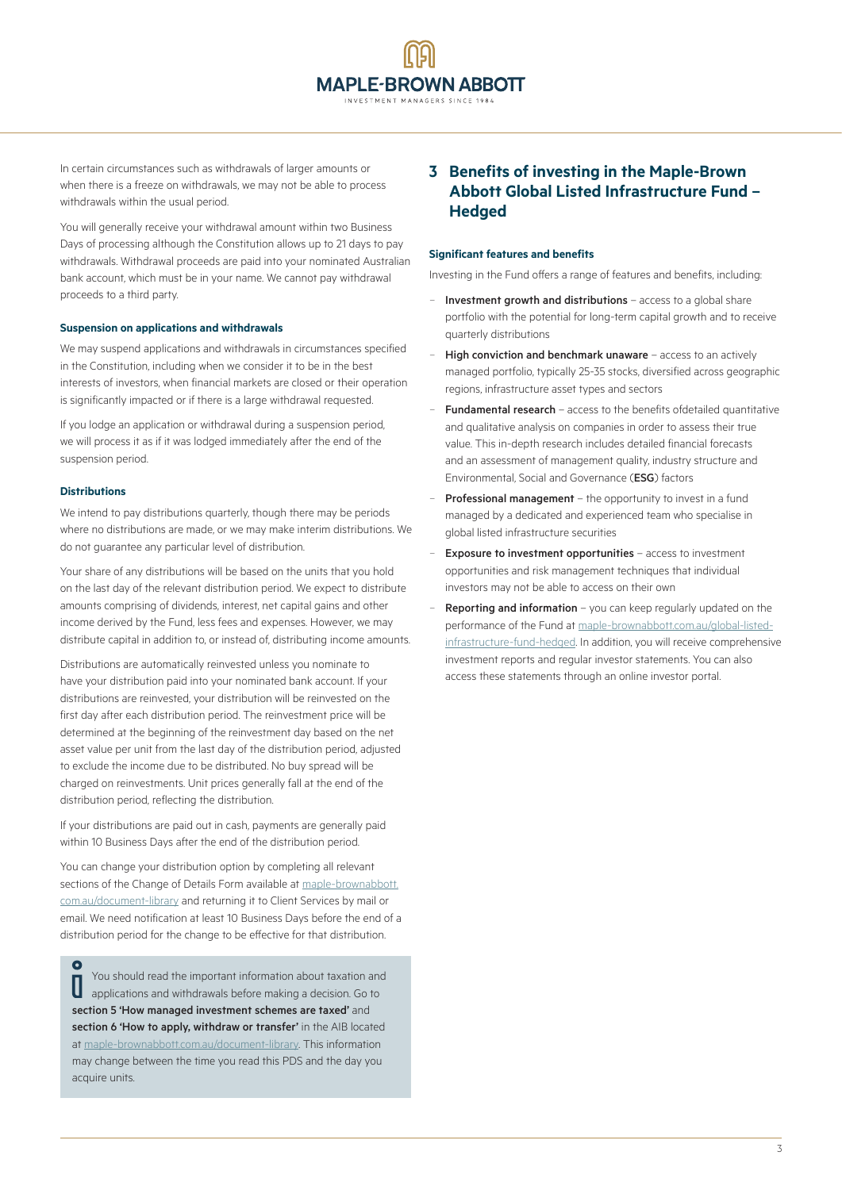In certain circumstances such as withdrawals of larger amounts or when there is a freeze on withdrawals, we may not be able to process withdrawals within the usual period.

You will generally receive your withdrawal amount within two Business Days of processing although the Constitution allows up to 21 days to pay withdrawals. Withdrawal proceeds are paid into your nominated Australian bank account, which must be in your name. We cannot pay withdrawal proceeds to a third party.

#### **Suspension on applications and withdrawals**

We may suspend applications and withdrawals in circumstances specified in the Constitution, including when we consider it to be in the best interests of investors, when financial markets are closed or their operation is significantly impacted or if there is a large withdrawal requested.

If you lodge an application or withdrawal during a suspension period, we will process it as if it was lodged immediately after the end of the suspension period.

### **Distributions**

We intend to pay distributions quarterly, though there may be periods where no distributions are made, or we may make interim distributions. We do not guarantee any particular level of distribution.

Your share of any distributions will be based on the units that you hold on the last day of the relevant distribution period. We expect to distribute amounts comprising of dividends, interest, net capital gains and other income derived by the Fund, less fees and expenses. However, we may distribute capital in addition to, or instead of, distributing income amounts.

Distributions are automatically reinvested unless you nominate to have your distribution paid into your nominated bank account. If your distributions are reinvested, your distribution will be reinvested on the first day after each distribution period. The reinvestment price will be determined at the beginning of the reinvestment day based on the net asset value per unit from the last day of the distribution period, adjusted to exclude the income due to be distributed. No buy spread will be charged on reinvestments. Unit prices generally fall at the end of the distribution period, reflecting the distribution.

If your distributions are paid out in cash, payments are generally paid within 10 Business Days after the end of the distribution period.

You can change your distribution option by completing all relevant sections of the Change of Details Form available at [maple-brownabbott.](http://www.maple-brownabbott.com.au/document-library) [com.au/document-library](http://www.maple-brownabbott.com.au/document-library) and returning it to Client Services by mail or email. We need notification at least 10 Business Days before the end of a distribution period for the change to be effective for that distribution.

 $\bullet$ You should read the important information about taxation and I applications and withdrawals before making a decision. Go to section 5 'How managed investment schemes are taxed' and section 6 'How to apply, withdraw or transfer' in the AIB located at [maple-brownabbott.com.au/document-library](http://maple-brownabbott.com.au/document-library). This information may change between the time you read this PDS and the day you acquire units.

## **3 Benefits of investing in the Maple-Brown Abbott Global Listed Infrastructure Fund – Hedged**

#### **Significant features and benefits**

Investing in the Fund offers a range of features and benefits, including:

- Investment growth and distributions access to a global share portfolio with the potential for long-term capital growth and to receive quarterly distributions
- High conviction and benchmark unaware access to an actively managed portfolio, typically 25-35 stocks, diversified across geographic regions, infrastructure asset types and sectors
- Fundamental research access to the benefits ofdetailed quantitative and qualitative analysis on companies in order to assess their true value. This in-depth research includes detailed financial forecasts and an assessment of management quality, industry structure and Environmental, Social and Governance (ESG) factors
- Professional management the opportunity to invest in a fund managed by a dedicated and experienced team who specialise in global listed infrastructure securities
- Exposure to investment opportunities access to investment opportunities and risk management techniques that individual investors may not be able to access on their own
- Reporting and information you can keep regularly updated on the performance of the Fund at [maple-brownabbott.com.au/global-listed](http://www.maple-brownabbott.com.au/global-listed-infrastructure-fund-hedged)[infrastructure-fund-hedged](http://www.maple-brownabbott.com.au/global-listed-infrastructure-fund-hedged). In addition, you will receive comprehensive investment reports and regular investor statements. You can also access these statements through an online investor portal.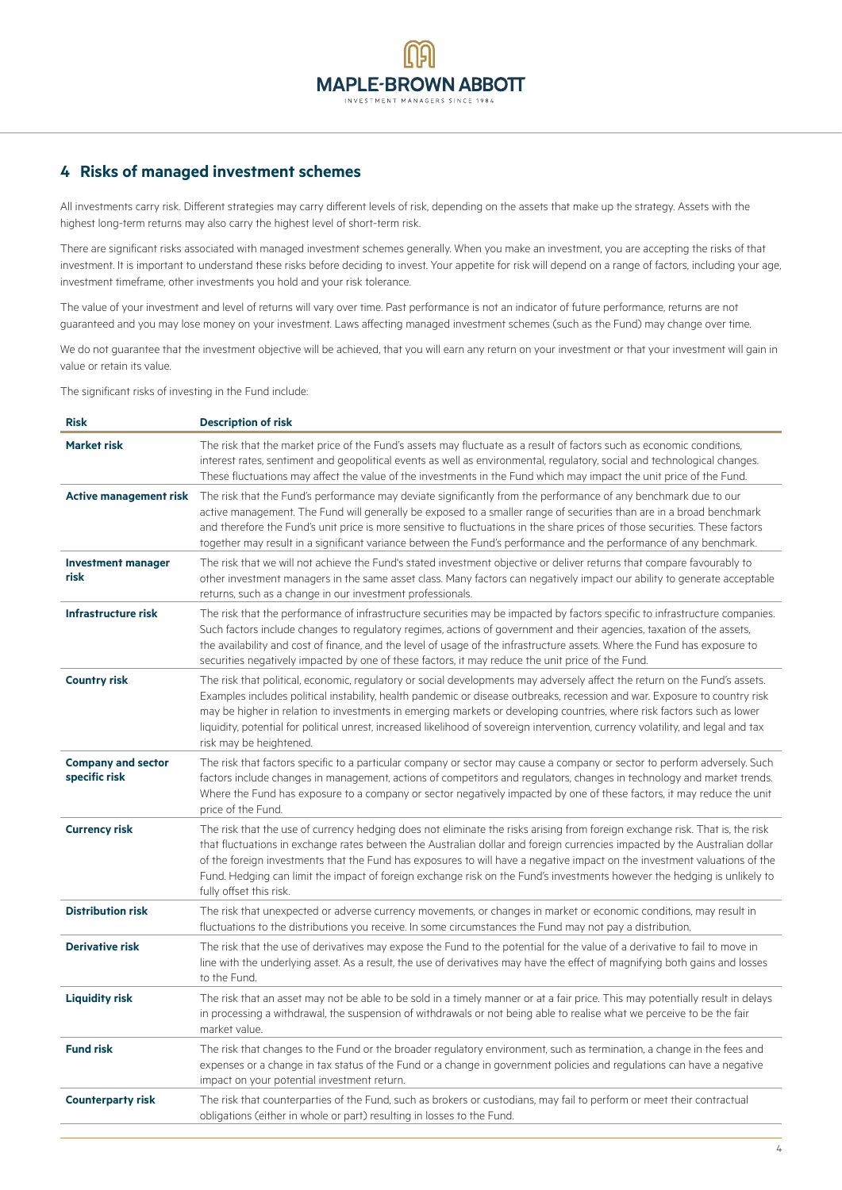## **4 Risks of managed investment schemes**

All investments carry risk. Different strategies may carry different levels of risk, depending on the assets that make up the strategy. Assets with the highest long-term returns may also carry the highest level of short-term risk.

There are significant risks associated with managed investment schemes generally. When you make an investment, you are accepting the risks of that investment. It is important to understand these risks before deciding to invest. Your appetite for risk will depend on a range of factors, including your age, investment timeframe, other investments you hold and your risk tolerance.

The value of your investment and level of returns will vary over time. Past performance is not an indicator of future performance, returns are not guaranteed and you may lose money on your investment. Laws affecting managed investment schemes (such as the Fund) may change over time.

We do not guarantee that the investment objective will be achieved, that you will earn any return on your investment or that your investment will gain in value or retain its value.

The significant risks of investing in the Fund include:

| <b>Risk</b>                                | <b>Description of risk</b>                                                                                                                                                                                                                                                                                                                                                                                                                                                                                                                         |
|--------------------------------------------|----------------------------------------------------------------------------------------------------------------------------------------------------------------------------------------------------------------------------------------------------------------------------------------------------------------------------------------------------------------------------------------------------------------------------------------------------------------------------------------------------------------------------------------------------|
| <b>Market risk</b>                         | The risk that the market price of the Fund's assets may fluctuate as a result of factors such as economic conditions,<br>interest rates, sentiment and geopolitical events as well as environmental, regulatory, social and technological changes.<br>These fluctuations may affect the value of the investments in the Fund which may impact the unit price of the Fund.                                                                                                                                                                          |
| <b>Active management risk</b>              | The risk that the Fund's performance may deviate significantly from the performance of any benchmark due to our<br>active management. The Fund will generally be exposed to a smaller range of securities than are in a broad benchmark<br>and therefore the Fund's unit price is more sensitive to fluctuations in the share prices of those securities. These factors<br>together may result in a significant variance between the Fund's performance and the performance of any benchmark.                                                      |
| <b>Investment manager</b><br>risk          | The risk that we will not achieve the Fund's stated investment objective or deliver returns that compare favourably to<br>other investment managers in the same asset class. Many factors can negatively impact our ability to generate acceptable<br>returns, such as a change in our investment professionals.                                                                                                                                                                                                                                   |
| Infrastructure risk                        | The risk that the performance of infrastructure securities may be impacted by factors specific to infrastructure companies.<br>Such factors include changes to regulatory regimes, actions of government and their agencies, taxation of the assets,<br>the availability and cost of finance, and the level of usage of the infrastructure assets. Where the Fund has exposure to<br>securities negatively impacted by one of these factors, it may reduce the unit price of the Fund.                                                             |
| <b>Country risk</b>                        | The risk that political, economic, regulatory or social developments may adversely affect the return on the Fund's assets.<br>Examples includes political instability, health pandemic or disease outbreaks, recession and war. Exposure to country risk<br>may be higher in relation to investments in emerging markets or developing countries, where risk factors such as lower<br>liquidity, potential for political unrest, increased likelihood of sovereign intervention, currency volatility, and legal and tax<br>risk may be heightened. |
| <b>Company and sector</b><br>specific risk | The risk that factors specific to a particular company or sector may cause a company or sector to perform adversely. Such<br>factors include changes in management, actions of competitors and regulators, changes in technology and market trends.<br>Where the Fund has exposure to a company or sector negatively impacted by one of these factors, it may reduce the unit<br>price of the Fund.                                                                                                                                                |
| <b>Currency risk</b>                       | The risk that the use of currency hedging does not eliminate the risks arising from foreign exchange risk. That is, the risk<br>that fluctuations in exchange rates between the Australian dollar and foreign currencies impacted by the Australian dollar<br>of the foreign investments that the Fund has exposures to will have a negative impact on the investment valuations of the<br>Fund. Hedging can limit the impact of foreign exchange risk on the Fund's investments however the hedging is unlikely to<br>fully offset this risk.     |
| <b>Distribution risk</b>                   | The risk that unexpected or adverse currency movements, or changes in market or economic conditions, may result in<br>fluctuations to the distributions you receive. In some circumstances the Fund may not pay a distribution.                                                                                                                                                                                                                                                                                                                    |
| <b>Derivative risk</b>                     | The risk that the use of derivatives may expose the Fund to the potential for the value of a derivative to fail to move in<br>line with the underlying asset. As a result, the use of derivatives may have the effect of magnifying both gains and losses<br>to the Fund.                                                                                                                                                                                                                                                                          |
| <b>Liquidity risk</b>                      | The risk that an asset may not be able to be sold in a timely manner or at a fair price. This may potentially result in delays<br>in processing a withdrawal, the suspension of withdrawals or not being able to realise what we perceive to be the fair<br>market value.                                                                                                                                                                                                                                                                          |
| <b>Fund risk</b>                           | The risk that changes to the Fund or the broader regulatory environment, such as termination, a change in the fees and<br>expenses or a change in tax status of the Fund or a change in government policies and regulations can have a negative<br>impact on your potential investment return.                                                                                                                                                                                                                                                     |
| <b>Counterparty risk</b>                   | The risk that counterparties of the Fund, such as brokers or custodians, may fail to perform or meet their contractual<br>obligations (either in whole or part) resulting in losses to the Fund.                                                                                                                                                                                                                                                                                                                                                   |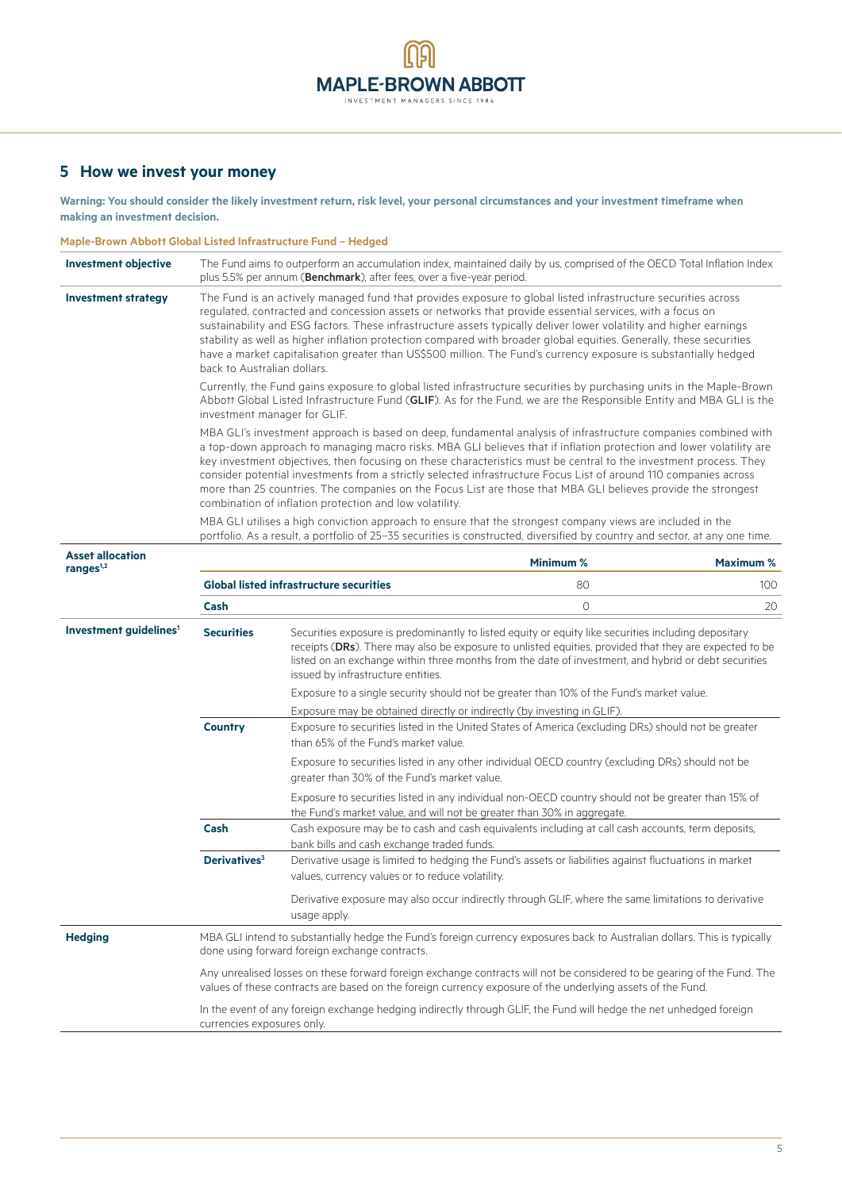## **5 How we invest your money**

**Warning: You should consider the likely investment return, risk level, your personal circumstances and your investment timeframe when making an investment decision.**

## **Maple-Brown Abbott Global Listed Infrastructure Fund – Hedged**

| <b>Investment objective</b>                     | The Fund aims to outperform an accumulation index, maintained daily by us, comprised of the OECD Total Inflation Index<br>plus 5.5% per annum (Benchmark), after fees, over a five-year period.                                                                                                                                                                                                                                                                                                                                                                                                                                                            |                                                                                                                                                                             |                                                                                                        |                  |
|-------------------------------------------------|------------------------------------------------------------------------------------------------------------------------------------------------------------------------------------------------------------------------------------------------------------------------------------------------------------------------------------------------------------------------------------------------------------------------------------------------------------------------------------------------------------------------------------------------------------------------------------------------------------------------------------------------------------|-----------------------------------------------------------------------------------------------------------------------------------------------------------------------------|--------------------------------------------------------------------------------------------------------|------------------|
| <b>Investment strategy</b>                      | The Fund is an actively managed fund that provides exposure to global listed infrastructure securities across<br>regulated, contracted and concession assets or networks that provide essential services, with a focus on<br>sustainability and ESG factors. These infrastructure assets typically deliver lower volatility and higher earnings<br>stability as well as higher inflation protection compared with broader global equities. Generally, these securities<br>have a market capitalisation greater than US\$500 million. The Fund's currency exposure is substantially hedged<br>back to Australian dollars.                                   |                                                                                                                                                                             |                                                                                                        |                  |
|                                                 | Currently, the Fund gains exposure to global listed infrastructure securities by purchasing units in the Maple-Brown<br>Abbott Global Listed Infrastructure Fund (GLIF). As for the Fund, we are the Responsible Entity and MBA GLI is the<br>investment manager for GLIF.                                                                                                                                                                                                                                                                                                                                                                                 |                                                                                                                                                                             |                                                                                                        |                  |
|                                                 | MBA GLI's investment approach is based on deep, fundamental analysis of infrastructure companies combined with<br>a top-down approach to managing macro risks. MBA GLI believes that if inflation protection and lower volatility are<br>key investment objectives, then focusing on these characteristics must be central to the investment process. They<br>consider potential investments from a strictly selected infrastructure Focus List of around 110 companies across<br>more than 25 countries. The companies on the Focus List are those that MBA GLI believes provide the strongest<br>combination of inflation protection and low volatility. |                                                                                                                                                                             |                                                                                                        |                  |
|                                                 | MBA GLI utilises a high conviction approach to ensure that the strongest company views are included in the<br>portfolio. As a result, a portfolio of 25-35 securities is constructed, diversified by country and sector, at any one time.                                                                                                                                                                                                                                                                                                                                                                                                                  |                                                                                                                                                                             |                                                                                                        |                  |
| <b>Asset allocation</b><br>range <sub>1,2</sub> |                                                                                                                                                                                                                                                                                                                                                                                                                                                                                                                                                                                                                                                            |                                                                                                                                                                             | Minimum %                                                                                              | <b>Maximum %</b> |
|                                                 |                                                                                                                                                                                                                                                                                                                                                                                                                                                                                                                                                                                                                                                            | <b>Global listed infrastructure securities</b>                                                                                                                              | 80                                                                                                     | 100              |
|                                                 | Cash                                                                                                                                                                                                                                                                                                                                                                                                                                                                                                                                                                                                                                                       |                                                                                                                                                                             | $\circ$                                                                                                | 20               |
| Investment guidelines <sup>1</sup>              | <b>Securities</b><br>Securities exposure is predominantly to listed equity or equity like securities including depositary<br>receipts (DRs). There may also be exposure to unlisted equities, provided that they are expected to be<br>listed on an exchange within three months from the date of investment, and hybrid or debt securities<br>issued by infrastructure entities.                                                                                                                                                                                                                                                                          |                                                                                                                                                                             |                                                                                                        |                  |
|                                                 |                                                                                                                                                                                                                                                                                                                                                                                                                                                                                                                                                                                                                                                            |                                                                                                                                                                             | Exposure to a single security should not be greater than 10% of the Fund's market value.               |                  |
|                                                 |                                                                                                                                                                                                                                                                                                                                                                                                                                                                                                                                                                                                                                                            | Exposure may be obtained directly or indirectly (by investing in GLIF).                                                                                                     |                                                                                                        |                  |
|                                                 | <b>Country</b>                                                                                                                                                                                                                                                                                                                                                                                                                                                                                                                                                                                                                                             | Exposure to securities listed in the United States of America (excluding DRs) should not be greater<br>than 65% of the Fund's market value.                                 |                                                                                                        |                  |
|                                                 |                                                                                                                                                                                                                                                                                                                                                                                                                                                                                                                                                                                                                                                            | greater than 30% of the Fund's market value.                                                                                                                                | Exposure to securities listed in any other individual OECD country (excluding DRs) should not be       |                  |
|                                                 |                                                                                                                                                                                                                                                                                                                                                                                                                                                                                                                                                                                                                                                            | the Fund's market value, and will not be greater than 30% in aggregate.                                                                                                     | Exposure to securities listed in any individual non-OECD country should not be greater than 15% of     |                  |
|                                                 | Cash                                                                                                                                                                                                                                                                                                                                                                                                                                                                                                                                                                                                                                                       | bank bills and cash exchange traded funds.                                                                                                                                  | Cash exposure may be to cash and cash equivalents including at call cash accounts, term deposits,      |                  |
|                                                 | Derivatives <sup>3</sup>                                                                                                                                                                                                                                                                                                                                                                                                                                                                                                                                                                                                                                   | values, currency values or to reduce volatility.                                                                                                                            | Derivative usage is limited to hedging the Fund's assets or liabilities against fluctuations in market |                  |
|                                                 |                                                                                                                                                                                                                                                                                                                                                                                                                                                                                                                                                                                                                                                            | usage apply.                                                                                                                                                                | Derivative exposure may also occur indirectly through GLIF, where the same limitations to derivative   |                  |
| <b>Hedging</b>                                  |                                                                                                                                                                                                                                                                                                                                                                                                                                                                                                                                                                                                                                                            | MBA GLI intend to substantially hedge the Fund's foreign currency exposures back to Australian dollars. This is typically<br>done using forward foreign exchange contracts. |                                                                                                        |                  |
|                                                 | Any unrealised losses on these forward foreign exchange contracts will not be considered to be gearing of the Fund. The<br>values of these contracts are based on the foreign currency exposure of the underlying assets of the Fund.                                                                                                                                                                                                                                                                                                                                                                                                                      |                                                                                                                                                                             |                                                                                                        |                  |
|                                                 | In the event of any foreign exchange hedging indirectly through GLIF, the Fund will hedge the net unhedged foreign<br>currencies exposures only.                                                                                                                                                                                                                                                                                                                                                                                                                                                                                                           |                                                                                                                                                                             |                                                                                                        |                  |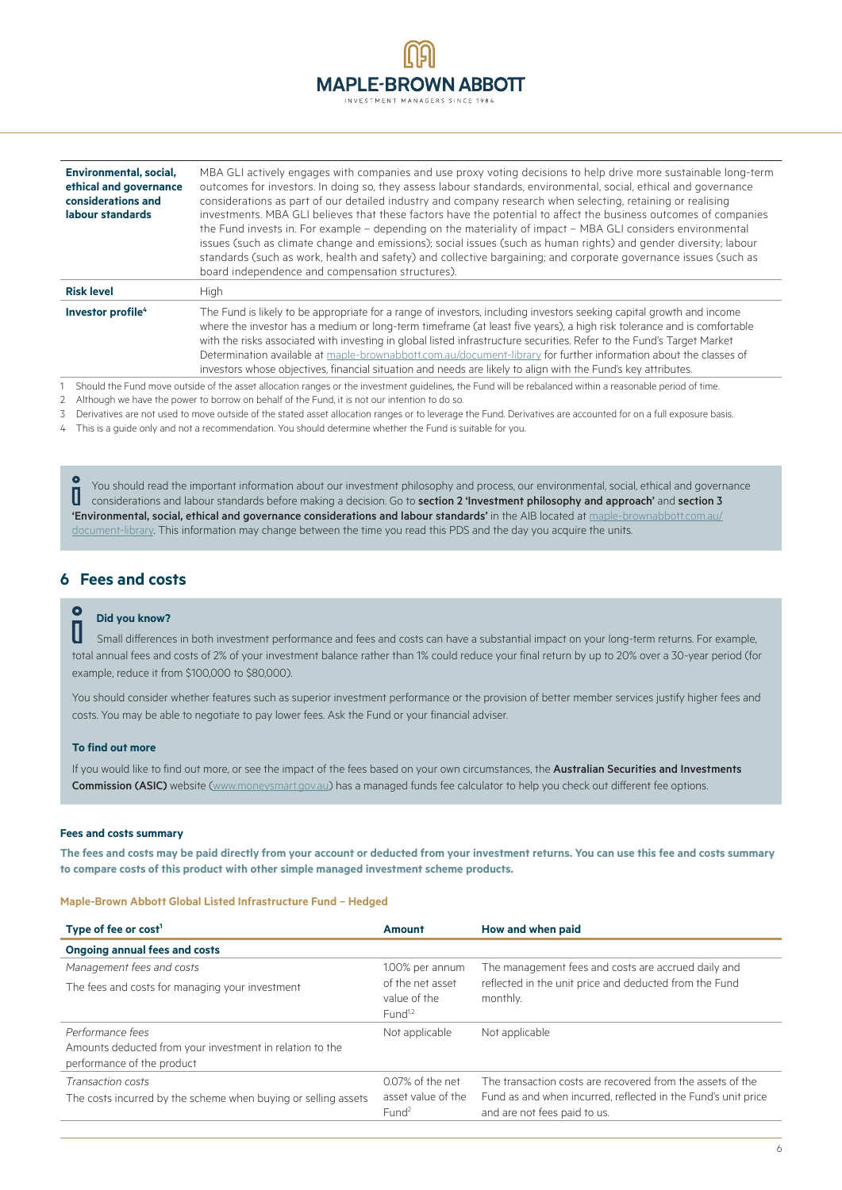| <b>A</b>                       |  |
|--------------------------------|--|
| <b>MAPLE-BROWN ABBOTT</b>      |  |
| INVESTMENT MANAGERS SINCE 1984 |  |

| Environmental, social.<br>ethical and governance<br>considerations and<br>labour standards | MBA GLI actively engages with companies and use proxy voting decisions to help drive more sustainable long-term<br>outcomes for investors. In doing so, they assess labour standards, environmental, social, ethical and governance<br>considerations as part of our detailed industry and company research when selecting, retaining or realising<br>investments. MBA GLI believes that these factors have the potential to affect the business outcomes of companies<br>the Fund invests in. For example – depending on the materiality of impact – MBA GLI considers environmental<br>issues (such as climate change and emissions); social issues (such as human rights) and gender diversity; labour<br>standards (such as work, health and safety) and collective bargaining; and corporate governance issues (such as<br>board independence and compensation structures). |
|--------------------------------------------------------------------------------------------|----------------------------------------------------------------------------------------------------------------------------------------------------------------------------------------------------------------------------------------------------------------------------------------------------------------------------------------------------------------------------------------------------------------------------------------------------------------------------------------------------------------------------------------------------------------------------------------------------------------------------------------------------------------------------------------------------------------------------------------------------------------------------------------------------------------------------------------------------------------------------------|
| <b>Risk level</b>                                                                          | High                                                                                                                                                                                                                                                                                                                                                                                                                                                                                                                                                                                                                                                                                                                                                                                                                                                                             |
| Investor profile <sup>4</sup>                                                              | The Fund is likely to be appropriate for a range of investors, including investors seeking capital growth and income<br>where the investor has a medium or long-term timeframe (at least five years), a high risk tolerance and is comfortable<br>with the risks associated with investing in global listed infrastructure securities. Refer to the Fund's Target Market<br>Determination available at maple-brownabbott.com.au/document-library for further information about the classes of<br>investors whose objectives, financial situation and needs are likely to align with the Fund's key attributes.                                                                                                                                                                                                                                                                   |

1 Should the Fund move outside of the asset allocation ranges or the investment guidelines, the Fund will be rebalanced within a reasonable period of time.

2 Although we have the power to borrow on behalf of the Fund, it is not our intention to do so.

3 Derivatives are not used to move outside of the stated asset allocation ranges or to leverage the Fund. Derivatives are accounted for on a full exposure basis.

4 This is a guide only and not a recommendation. You should determine whether the Fund is suitable for you.

You should read the important information about our investment philosophy and process, our environmental, social, ethical and governance U considerations and labour standards before making a decision. Go to section 2 'Investment philosophy and approach' and section 3 'Environmental, social, ethical and governance considerations and labour standards' in the AIB located at [maple-brownabbott.com.au/](http://www.maple-brownabbott.com.au/document-library) [document-library.](http://www.maple-brownabbott.com.au/document-library) This information may change between the time you read this PDS and the day you acquire the units.

## **6 Fees and costs**

# **O** Did you know?

 Small differences in both investment performance and fees and costs can have a substantial impact on your long-term returns. For example, total annual fees and costs of 2% of your investment balance rather than 1% could reduce your final return by up to 20% over a 30-year period (for example, reduce it from \$100,000 to \$80,000).

You should consider whether features such as superior investment performance or the provision of better member services justify higher fees and costs. You may be able to negotiate to pay lower fees. Ask the Fund or your financial adviser.

## **To find out more**

If you would like to find out more, or see the impact of the fees based on your own circumstances, the Australian Securities and Investments Commission (ASIC) website ([www.moneysmart.gov.au\)](http://www.moneysmart.gov.au) has a managed funds fee calculator to help you check out different fee options.

#### **Fees and costs summary**

**The fees and costs may be paid directly from your account or deducted from your investment returns. You can use this fee and costs summary to compare costs of this product with other simple managed investment scheme products.**

#### **Maple-Brown Abbott Global Listed Infrastructure Fund – Hedged**

| Type of fee or $cost1$                                                                                     | Amount                                                      | How and when paid                                                                                                                                           |  |
|------------------------------------------------------------------------------------------------------------|-------------------------------------------------------------|-------------------------------------------------------------------------------------------------------------------------------------------------------------|--|
| <b>Ongoing annual fees and costs</b>                                                                       |                                                             |                                                                                                                                                             |  |
| Management fees and costs                                                                                  | 1.00% per annum                                             | The management fees and costs are accrued daily and                                                                                                         |  |
| The fees and costs for managing your investment                                                            | of the net asset<br>value of the<br>Fund <sup>1,2</sup>     | reflected in the unit price and deducted from the Fund<br>monthly.                                                                                          |  |
| Performance fees<br>Amounts deducted from your investment in relation to the<br>performance of the product | Not applicable                                              | Not applicable                                                                                                                                              |  |
| Transaction costs<br>The costs incurred by the scheme when buying or selling assets                        | 0.07% of the net<br>asset value of the<br>Fund <sup>2</sup> | The transaction costs are recovered from the assets of the<br>Fund as and when incurred, reflected in the Fund's unit price<br>and are not fees paid to us. |  |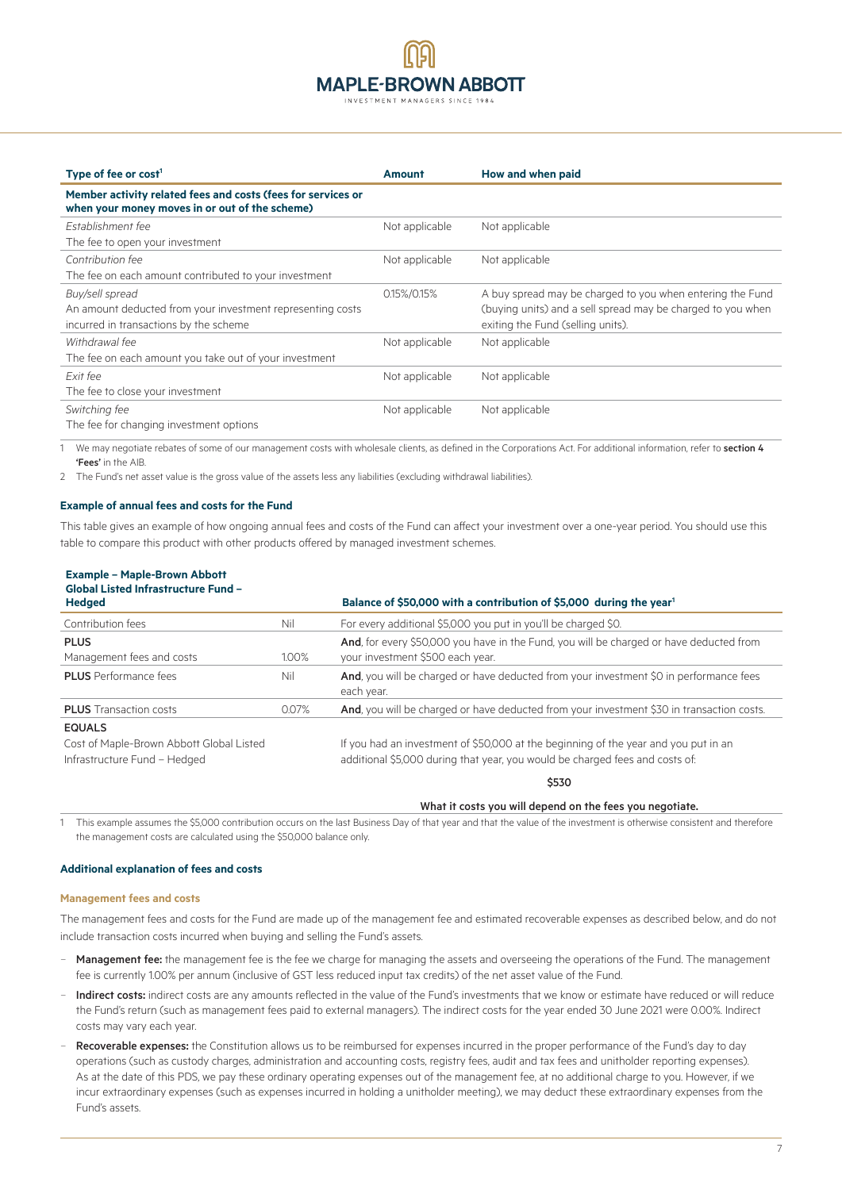## **MAPLE-BROWN ABBOTT** INVESTMENT MANAGERS SINCE 198

| Type of fee or $cost1$                                                                                         | <b>Amount</b>  | How and when paid                                           |
|----------------------------------------------------------------------------------------------------------------|----------------|-------------------------------------------------------------|
| Member activity related fees and costs (fees for services or<br>when your money moves in or out of the scheme) |                |                                                             |
| Establishment fee                                                                                              | Not applicable | Not applicable                                              |
| The fee to open your investment                                                                                |                |                                                             |
| Contribution fee                                                                                               | Not applicable | Not applicable                                              |
| The fee on each amount contributed to your investment                                                          |                |                                                             |
| Buy/sell spread                                                                                                | 0.15%/0.15%    | A buy spread may be charged to you when entering the Fund   |
| An amount deducted from your investment representing costs                                                     |                | (buying units) and a sell spread may be charged to you when |
| incurred in transactions by the scheme                                                                         |                | exiting the Fund (selling units).                           |
| Withdrawal fee                                                                                                 | Not applicable | Not applicable                                              |
| The fee on each amount you take out of your investment                                                         |                |                                                             |
| Exit fee                                                                                                       | Not applicable | Not applicable                                              |
| The fee to close your investment                                                                               |                |                                                             |
| Switching fee                                                                                                  | Not applicable | Not applicable                                              |
| The fee for changing investment options                                                                        |                |                                                             |

1 We may negotiate rebates of some of our management costs with wholesale clients, as defined in the Corporations Act. For additional information, refer to section 4 'Fees' in the AIB.

2 The Fund's net asset value is the gross value of the assets less any liabilities (excluding withdrawal liabilities).

#### **Example of annual fees and costs for the Fund**

This table gives an example of how ongoing annual fees and costs of the Fund can affect your investment over a one-year period. You should use this table to compare this product with other products offered by managed investment schemes.

## **Example – Maple-Brown Abbott Global Listed Infrastructure Fund –**

| <b>Hedged</b>                                                                             |       | Balance of \$50,000 with a contribution of \$5,000 during the year <sup>1</sup>                                                                                     |
|-------------------------------------------------------------------------------------------|-------|---------------------------------------------------------------------------------------------------------------------------------------------------------------------|
| Contribution fees                                                                         | Nil   | For every additional \$5,000 you put in you'll be charged \$0.                                                                                                      |
| <b>PLUS</b><br>Management fees and costs                                                  | 1.00% | And, for every \$50,000 you have in the Fund, you will be charged or have deducted from<br>your investment \$500 each year.                                         |
| <b>PLUS</b> Performance fees                                                              | Nil   | And, you will be charged or have deducted from your investment \$0 in performance fees<br>each year.                                                                |
| <b>PLUS</b> Transaction costs                                                             | 0.07% | And, you will be charged or have deducted from your investment \$30 in transaction costs.                                                                           |
| <b>EQUALS</b><br>Cost of Maple-Brown Abbott Global Listed<br>Infrastructure Fund - Hedged |       | If you had an investment of \$50,000 at the beginning of the year and you put in an<br>additional \$5,000 during that year, you would be charged fees and costs of: |
|                                                                                           |       | \$530                                                                                                                                                               |

What it costs you will depend on the fees you negotiate.

1 This example assumes the \$5,000 contribution occurs on the last Business Day of that year and that the value of the investment is otherwise consistent and therefore the management costs are calculated using the \$50,000 balance only.

#### **Additional explanation of fees and costs**

#### **Management fees and costs**

The management fees and costs for the Fund are made up of the management fee and estimated recoverable expenses as described below, and do not include transaction costs incurred when buying and selling the Fund's assets.

- Management fee: the management fee is the fee we charge for managing the assets and overseeing the operations of the Fund. The management fee is currently 1.00% per annum (inclusive of GST less reduced input tax credits) of the net asset value of the Fund.
- Indirect costs: indirect costs are any amounts reflected in the value of the Fund's investments that we know or estimate have reduced or will reduce the Fund's return (such as management fees paid to external managers). The indirect costs for the year ended 30 June 2021 were 0.00%. Indirect costs may vary each year.
- Recoverable expenses: the Constitution allows us to be reimbursed for expenses incurred in the proper performance of the Fund's day to day operations (such as custody charges, administration and accounting costs, registry fees, audit and tax fees and unitholder reporting expenses). As at the date of this PDS, we pay these ordinary operating expenses out of the management fee, at no additional charge to you. However, if we incur extraordinary expenses (such as expenses incurred in holding a unitholder meeting), we may deduct these extraordinary expenses from the Fund's assets.